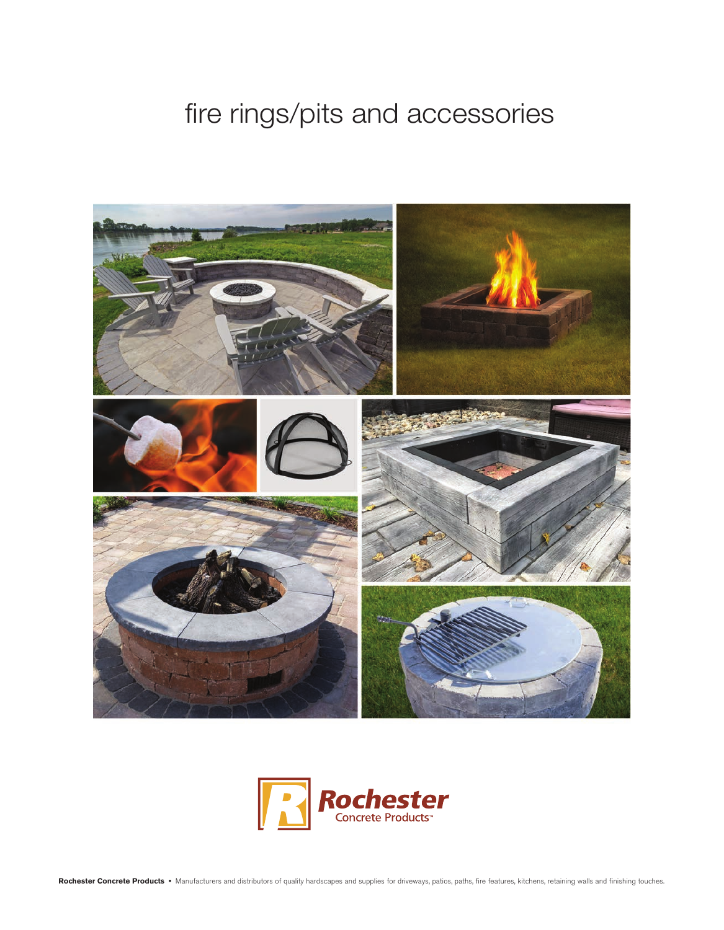## fire rings/pits and accessories